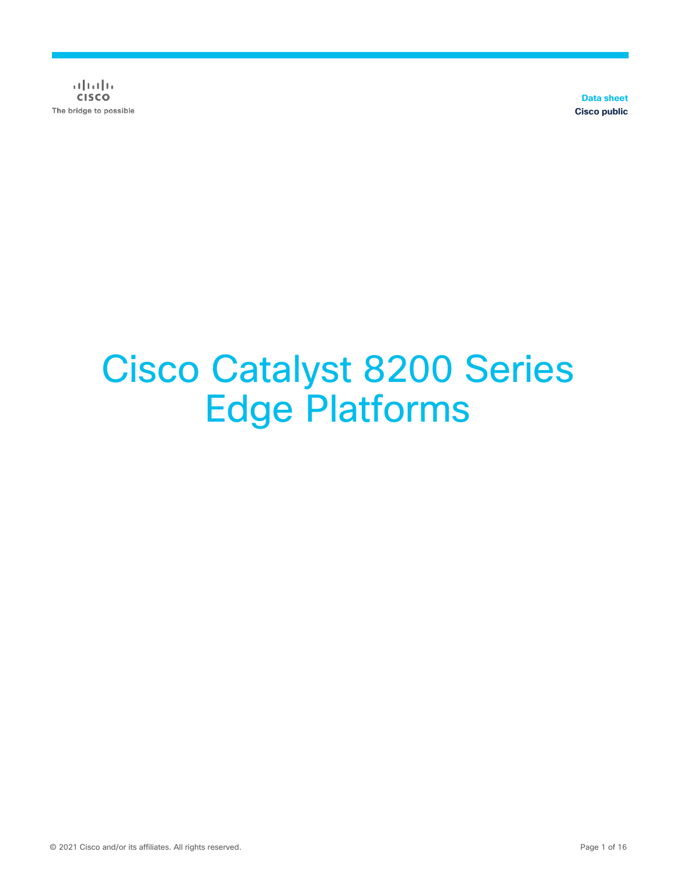$\alpha$  in the **CISCO** The bridge to possible

**Data sheet Cisco public**

# Cisco Catalyst 8200 Series Edge Platforms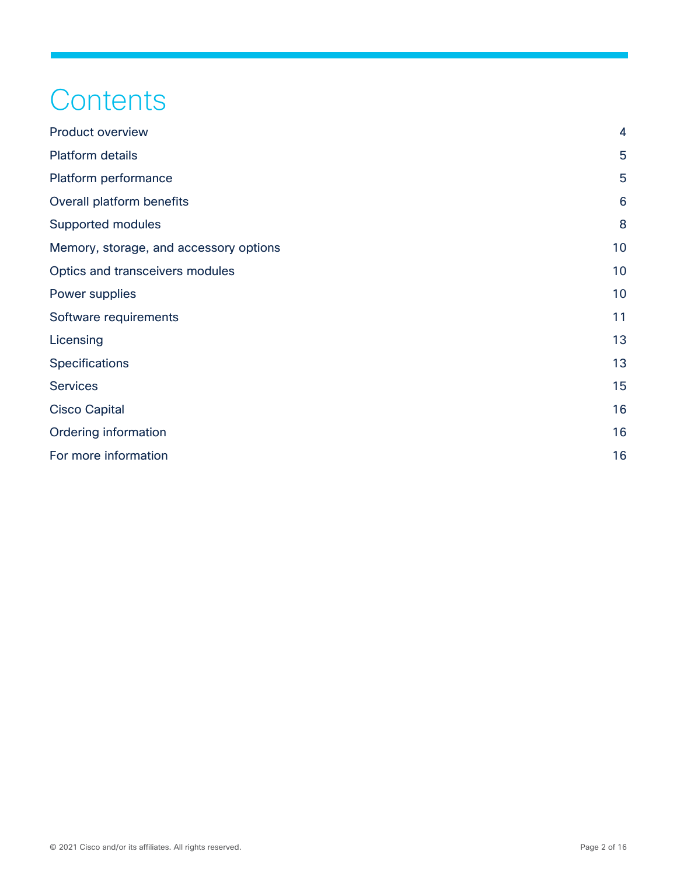## **Contents**

| <b>Product overview</b>                | $\overline{\mathbf{4}}$ |
|----------------------------------------|-------------------------|
| <b>Platform details</b>                | 5                       |
| Platform performance                   | 5                       |
| Overall platform benefits              | 6                       |
| Supported modules                      | 8                       |
| Memory, storage, and accessory options | 10                      |
| Optics and transceivers modules        | 10                      |
| Power supplies                         | 10                      |
| Software requirements                  | 11                      |
| Licensing                              | 13                      |
| Specifications                         | 13                      |
| <b>Services</b>                        | 15                      |
| <b>Cisco Capital</b>                   | 16                      |
| Ordering information                   | 16                      |
| For more information                   | 16                      |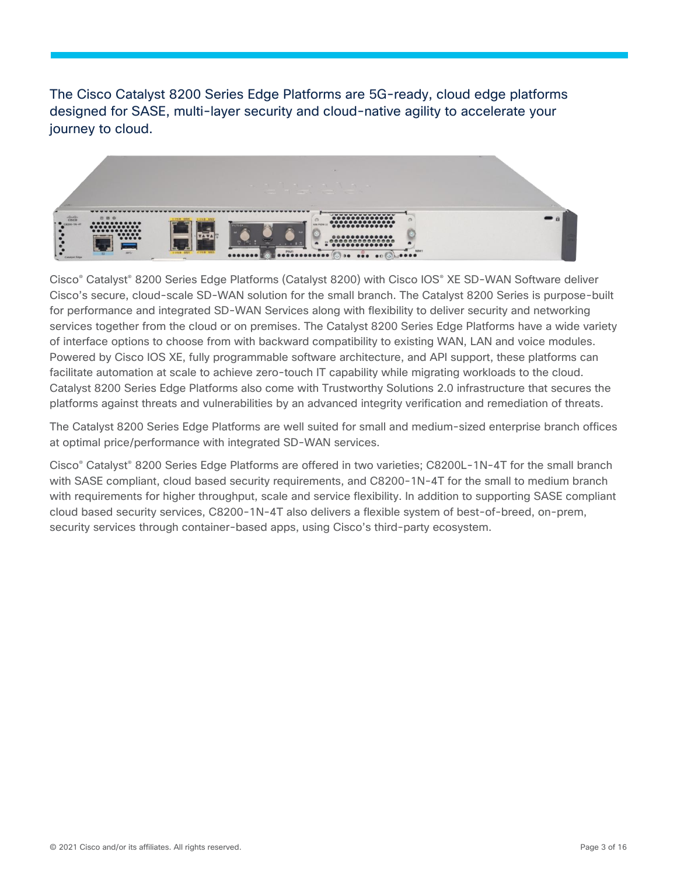The Cisco Catalyst 8200 Series Edge Platforms are 5G-ready, cloud edge platforms designed for SASE, multi-layer security and cloud-native agility to accelerate your journey to cloud.



Cisco® Catalyst® 8200 Series Edge Platforms (Catalyst 8200) with Cisco IOS® XE SD-WAN Software deliver Cisco's secure, cloud-scale SD-WAN solution for the small branch. The Catalyst 8200 Series is purpose-built for performance and integrated SD-WAN Services along with flexibility to deliver security and networking services together from the cloud or on premises. The Catalyst 8200 Series Edge Platforms have a wide variety of interface options to choose from with backward compatibility to existing WAN, LAN and voice modules. Powered by Cisco IOS XE, fully programmable software architecture, and API support, these platforms can facilitate automation at scale to achieve zero-touch IT capability while migrating workloads to the cloud. Catalyst 8200 Series Edge Platforms also come with Trustworthy Solutions 2.0 infrastructure that secures the platforms against threats and vulnerabilities by an advanced integrity verification and remediation of threats.

The Catalyst 8200 Series Edge Platforms are well suited for small and medium-sized enterprise branch offices at optimal price/performance with integrated SD-WAN services.

Cisco® Catalyst® 8200 Series Edge Platforms are offered in two varieties; C8200L-1N-4T for the small branch with SASE compliant, cloud based security requirements, and C8200-1N-4T for the small to medium branch with requirements for higher throughput, scale and service flexibility. In addition to supporting SASE compliant cloud based security services, C8200-1N-4T also delivers a flexible system of best-of-breed, on-prem, security services through container-based apps, using Cisco's third-party ecosystem.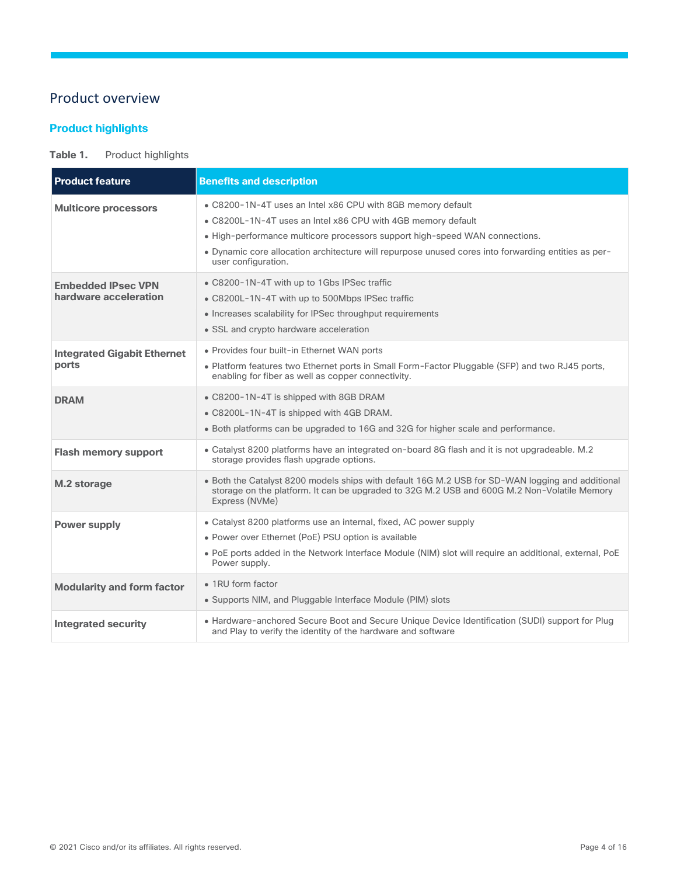## <span id="page-3-0"></span>Product overview

## **Product highlights**

## Table 1. Product highlights

| <b>Product feature</b>                             | <b>Benefits and description</b>                                                                                                                                                                                                                                                                                                          |
|----------------------------------------------------|------------------------------------------------------------------------------------------------------------------------------------------------------------------------------------------------------------------------------------------------------------------------------------------------------------------------------------------|
| <b>Multicore processors</b>                        | . C8200-1N-4T uses an Intel x86 CPU with 8GB memory default<br>• C8200L-1N-4T uses an Intel x86 CPU with 4GB memory default<br>• High-performance multicore processors support high-speed WAN connections.<br>. Dynamic core allocation architecture will repurpose unused cores into forwarding entities as per-<br>user configuration. |
| <b>Embedded IPsec VPN</b><br>hardware acceleration | • C8200-1N-4T with up to 1Gbs IPSec traffic<br>• C8200L-1N-4T with up to 500Mbps IPSec traffic<br>• Increases scalability for IPSec throughput requirements<br>• SSL and crypto hardware acceleration                                                                                                                                    |
| <b>Integrated Gigabit Ethernet</b><br>ports        | • Provides four built-in Ethernet WAN ports<br>. Platform features two Ethernet ports in Small Form-Factor Pluggable (SFP) and two RJ45 ports,<br>enabling for fiber as well as copper connectivity.                                                                                                                                     |
| <b>DRAM</b>                                        | • C8200-1N-4T is shipped with 8GB DRAM<br>• C8200L-1N-4T is shipped with 4GB DRAM.<br>• Both platforms can be upgraded to 16G and 32G for higher scale and performance.                                                                                                                                                                  |
| <b>Flash memory support</b>                        | • Catalyst 8200 platforms have an integrated on-board 8G flash and it is not upgradeable. M.2<br>storage provides flash upgrade options.                                                                                                                                                                                                 |
| M.2 storage                                        | • Both the Catalyst 8200 models ships with default 16G M.2 USB for SD-WAN logging and additional<br>storage on the platform. It can be upgraded to 32G M.2 USB and 600G M.2 Non-Volatile Memory<br>Express (NVMe)                                                                                                                        |
| <b>Power supply</b>                                | • Catalyst 8200 platforms use an internal, fixed, AC power supply<br>• Power over Ethernet (PoE) PSU option is available<br>. PoE ports added in the Network Interface Module (NIM) slot will require an additional, external, PoE<br>Power supply.                                                                                      |
| <b>Modularity and form factor</b>                  | • 1RU form factor<br>• Supports NIM, and Pluggable Interface Module (PIM) slots                                                                                                                                                                                                                                                          |
| <b>Integrated security</b>                         | • Hardware-anchored Secure Boot and Secure Unique Device Identification (SUDI) support for Plug<br>and Play to verify the identity of the hardware and software                                                                                                                                                                          |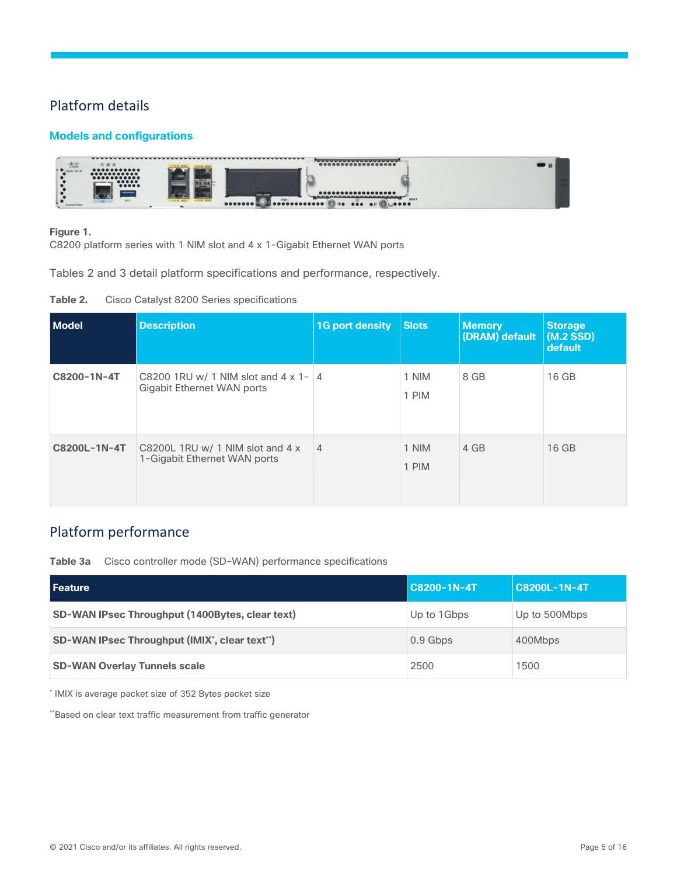## <span id="page-4-0"></span>Platform details

## **Models and configurations**



#### **Figure 1.**

C8200 platform series with 1 NIM slot and 4 x 1-Gigabit Ethernet WAN ports

Tables 2 and 3 detail platform specifications and performance, respectively.

| <b>Model</b> | <b>Description</b>                                                         | <b>1G port density</b> | <b>Slots</b>   | <b>Memory</b><br>(DRAM) default | <b>Storage</b><br>$(M.2$ SSD)<br>default |
|--------------|----------------------------------------------------------------------------|------------------------|----------------|---------------------------------|------------------------------------------|
| C8200-1N-4T  | C8200 1RU w/ 1 NIM slot and $4 \times 1 - 4$<br>Gigabit Ethernet WAN ports |                        | 1 NIM<br>1 PIM | 8 GB                            | 16 GB                                    |
| C8200L-1N-4T | C8200L 1RU w/ 1 NIM slot and $4 \times$<br>1-Gigabit Ethernet WAN ports    | $\overline{4}$         | 1 NIM<br>1 PIM | 4 GB                            | 16 GB                                    |

## <span id="page-4-1"></span>Platform performance

**Table 3a** Cisco controller mode (SD-WAN) performance specifications

| <b>Feature</b>                                  | C8200-1N-4T | C8200L-1N-4T  |
|-------------------------------------------------|-------------|---------------|
| SD-WAN IPsec Throughput (1400Bytes, clear text) | Up to 1Gbps | Up to 500Mbps |
| SD-WAN IPsec Throughput (IMIX', clear text")    | $0.9$ Gbps  | 400Mbps       |
| <b>SD-WAN Overlay Tunnels scale</b>             | 2500        | 1500          |

\* IMIX is average packet size of 352 Bytes packet size

\*\*Based on clear text traffic measurement from traffic generator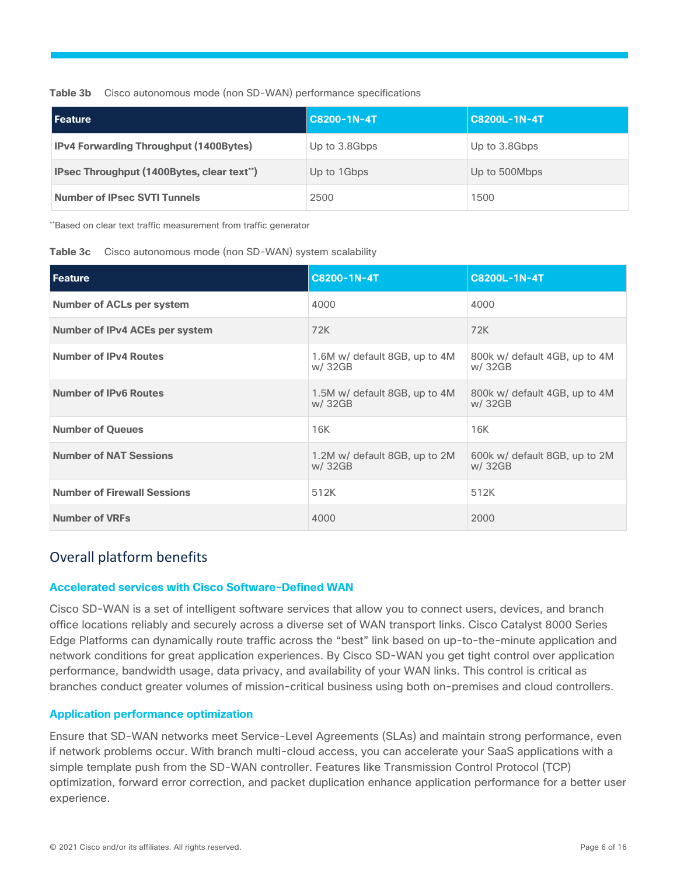**Table 3b** Cisco autonomous mode (non SD-WAN) performance specifications

| <b>Feature</b>                                | $ C8200-1N-4T$ | C8200L-1N-4T  |
|-----------------------------------------------|----------------|---------------|
| <b>IPv4 Forwarding Throughput (1400Bytes)</b> | Up to 3.8Gbps  | Up to 3.8Gbps |
| IPsec Throughput (1400Bytes, clear text")     | Up to 1Gbps    | Up to 500Mbps |
| <b>Number of IPsec SVTI Tunnels</b>           | 2500           | 1500          |

\*\*Based on clear text traffic measurement from traffic generator

| Table 3c | Cisco autonomous mode (non SD-WAN) system scalability |  |  |  |  |
|----------|-------------------------------------------------------|--|--|--|--|
|----------|-------------------------------------------------------|--|--|--|--|

| <b>Feature</b>                     | C8200-1N-4T                              | C8200L-1N-4T                             |
|------------------------------------|------------------------------------------|------------------------------------------|
| <b>Number of ACLs per system</b>   | 4000                                     | 4000                                     |
| Number of IPv4 ACEs per system     | 72K                                      | 72K                                      |
| <b>Number of IPv4 Routes</b>       | 1.6M w/ default 8GB, up to 4M<br>w/ 32GB | 800k w/ default 4GB, up to 4M<br>w/ 32GB |
| <b>Number of IPv6 Routes</b>       | 1.5M w/ default 8GB, up to 4M<br>w/ 32GB | 800k w/ default 4GB, up to 4M<br>w/ 32GB |
| <b>Number of Queues</b>            | 16K                                      | 16K                                      |
| <b>Number of NAT Sessions</b>      | 1.2M w/ default 8GB, up to 2M<br>w/ 32GB | 600k w/ default 8GB, up to 2M<br>w/ 32GB |
| <b>Number of Firewall Sessions</b> | 512K                                     | 512K                                     |
| <b>Number of VRFs</b>              | 4000                                     | 2000                                     |

## <span id="page-5-0"></span>Overall platform benefits

#### **Accelerated services with Cisco Software-Defined WAN**

Cisco SD-WAN is a set of intelligent software services that allow you to connect users, devices, and branch office locations reliably and securely across a diverse set of WAN transport links. Cisco Catalyst 8000 Series Edge Platforms can dynamically route traffic across the "best" link based on up-to-the-minute application and network conditions for great application experiences. By Cisco SD-WAN you get tight control over application performance, bandwidth usage, data privacy, and availability of your WAN links. This control is critical as branches conduct greater volumes of mission-critical business using both on-premises and cloud controllers.

#### **Application performance optimization**

Ensure that SD-WAN networks meet Service-Level Agreements (SLAs) and maintain strong performance, even if network problems occur. With branch multi-cloud access, you can accelerate your SaaS applications with a simple template push from the SD-WAN controller. Features like Transmission Control Protocol (TCP) optimization, forward error correction, and packet duplication enhance application performance for a better user experience.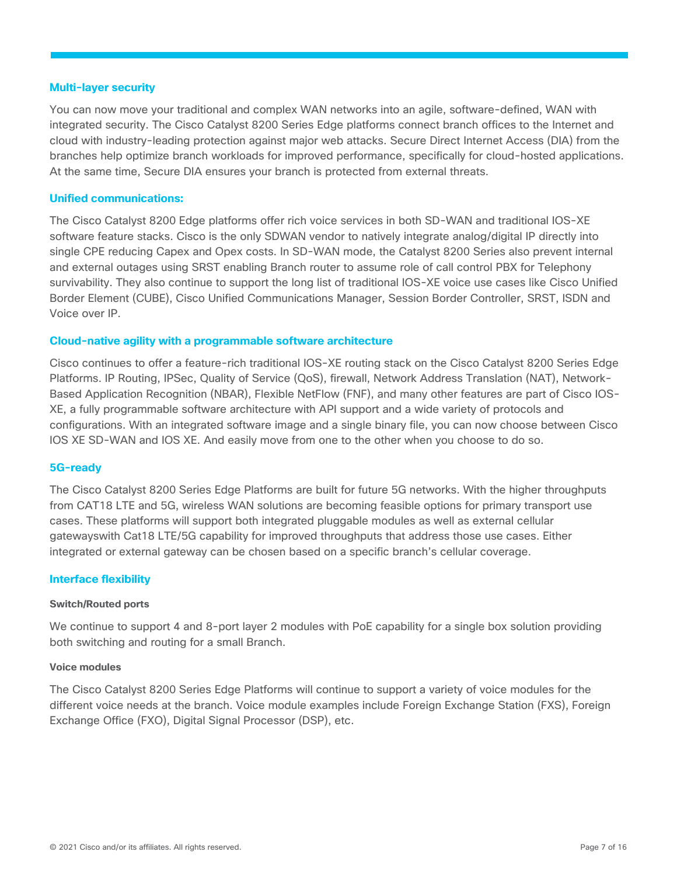#### **Multi-layer security**

You can now move your traditional and complex WAN networks into an agile, software-defined, WAN with integrated security. The Cisco Catalyst 8200 Series Edge platforms connect branch offices to the Internet and cloud with industry-leading protection against major web attacks. Secure Direct Internet Access (DIA) from the branches help optimize branch workloads for improved performance, specifically for cloud-hosted applications. At the same time, Secure DIA ensures your branch is protected from external threats.

#### **Unified communications:**

The Cisco Catalyst 8200 Edge platforms offer rich voice services in both SD-WAN and traditional IOS-XE software feature stacks. Cisco is the only SDWAN vendor to natively integrate analog/digital IP directly into single CPE reducing Capex and Opex costs. In SD-WAN mode, the Catalyst 8200 Series also prevent internal and external outages using SRST enabling Branch router to assume role of call control PBX for Telephony survivability. They also continue to support the long list of traditional IOS-XE voice use cases like Cisco Unified Border Element (CUBE), Cisco Unified Communications Manager, Session Border Controller, SRST, ISDN and Voice over IP.

#### **Cloud-native agility with a programmable software architecture**

Cisco continues to offer a feature-rich traditional IOS-XE routing stack on the Cisco Catalyst 8200 Series Edge Platforms. IP Routing, IPSec, Quality of Service (QoS), firewall, Network Address Translation (NAT), Network-Based Application Recognition (NBAR), Flexible NetFlow (FNF), and many other features are part of Cisco IOS-XE, a fully programmable software architecture with API support and a wide variety of protocols and configurations. With an integrated software image and a single binary file, you can now choose between Cisco IOS XE SD-WAN and IOS XE. And easily move from one to the other when you choose to do so.

#### **5G-ready**

The Cisco Catalyst 8200 Series Edge Platforms are built for future 5G networks. With the higher throughputs from CAT18 LTE and 5G, wireless WAN solutions are becoming feasible options for primary transport use cases. These platforms will support both integrated pluggable modules as well as external cellular gatewayswith Cat18 LTE/5G capability for improved throughputs that address those use cases. Either integrated or external gateway can be chosen based on a specific branch's cellular coverage.

#### **Interface flexibility**

#### **Switch/Routed ports**

We continue to support 4 and 8-port layer 2 modules with PoE capability for a single box solution providing both switching and routing for a small Branch.

#### **Voice modules**

The Cisco Catalyst 8200 Series Edge Platforms will continue to support a variety of voice modules for the different voice needs at the branch. Voice module examples include Foreign Exchange Station (FXS), Foreign Exchange Office (FXO), Digital Signal Processor (DSP), etc.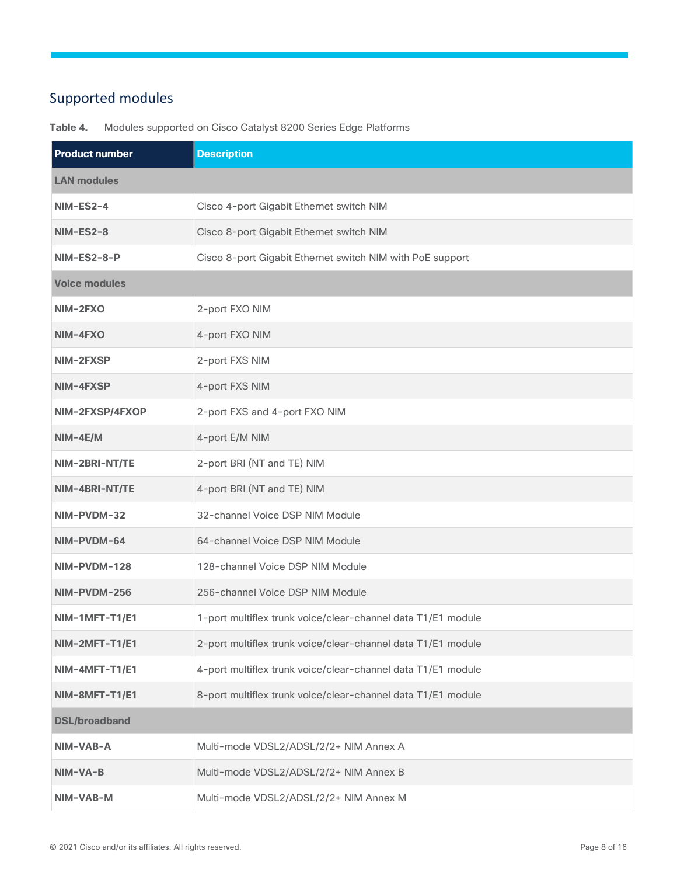## <span id="page-7-0"></span>Supported modules

| <b>Product number</b> | <b>Description</b>                                           |
|-----------------------|--------------------------------------------------------------|
| <b>LAN modules</b>    |                                                              |
| NIM-ES2-4             | Cisco 4-port Gigabit Ethernet switch NIM                     |
| NIM-ES2-8             | Cisco 8-port Gigabit Ethernet switch NIM                     |
| NIM-ES2-8-P           | Cisco 8-port Gigabit Ethernet switch NIM with PoE support    |
| <b>Voice modules</b>  |                                                              |
| NIM-2FXO              | 2-port FXO NIM                                               |
| NIM-4FXO              | 4-port FXO NIM                                               |
| NIM-2FXSP             | 2-port FXS NIM                                               |
| NIM-4FXSP             | 4-port FXS NIM                                               |
| NIM-2FXSP/4FXOP       | 2-port FXS and 4-port FXO NIM                                |
| $NIM-4E/M$            | 4-port E/M NIM                                               |
| NIM-2BRI-NT/TE        | 2-port BRI (NT and TE) NIM                                   |
| NIM-4BRI-NT/TE        | 4-port BRI (NT and TE) NIM                                   |
| NIM-PVDM-32           | 32-channel Voice DSP NIM Module                              |
| NIM-PVDM-64           | 64-channel Voice DSP NIM Module                              |
| NIM-PVDM-128          | 128-channel Voice DSP NIM Module                             |
| NIM-PVDM-256          | 256-channel Voice DSP NIM Module                             |
| NIM-1MFT-T1/E1        | 1-port multiflex trunk voice/clear-channel data T1/E1 module |
| NIM-2MFT-T1/E1        | 2-port multiflex trunk voice/clear-channel data T1/E1 module |
| NIM-4MFT-T1/E1        | 4-port multiflex trunk voice/clear-channel data T1/E1 module |
| NIM-8MFT-T1/E1        | 8-port multiflex trunk voice/clear-channel data T1/E1 module |
| <b>DSL/broadband</b>  |                                                              |
| NIM-VAB-A             | Multi-mode VDSL2/ADSL/2/2+ NIM Annex A                       |
| NIM-VA-B              | Multi-mode VDSL2/ADSL/2/2+ NIM Annex B                       |
| NIM-VAB-M             | Multi-mode VDSL2/ADSL/2/2+ NIM Annex M                       |

**Table 4.** Modules supported on Cisco Catalyst 8200 Series Edge Platforms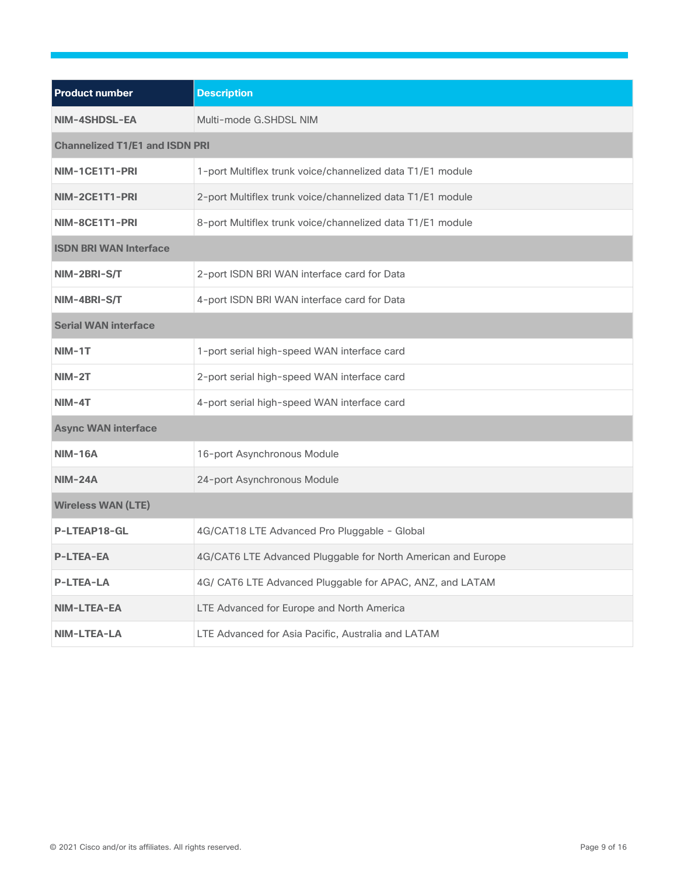| <b>Product number</b>                 | <b>Description</b>                                           |  |
|---------------------------------------|--------------------------------------------------------------|--|
| NIM-4SHDSL-EA                         | Multi-mode G.SHDSL NIM                                       |  |
| <b>Channelized T1/E1 and ISDN PRI</b> |                                                              |  |
| NIM-1CE1T1-PRI                        | 1-port Multiflex trunk voice/channelized data T1/E1 module   |  |
| NIM-2CE1T1-PRI                        | 2-port Multiflex trunk voice/channelized data T1/E1 module   |  |
| NIM-8CE1T1-PRI                        | 8-port Multiflex trunk voice/channelized data T1/E1 module   |  |
| <b>ISDN BRI WAN Interface</b>         |                                                              |  |
| NIM-2BRI-S/T                          | 2-port ISDN BRI WAN interface card for Data                  |  |
| NIM-4BRI-S/T                          | 4-port ISDN BRI WAN interface card for Data                  |  |
| <b>Serial WAN interface</b>           |                                                              |  |
| $NIM-1T$                              | 1-port serial high-speed WAN interface card                  |  |
| $NIM-2T$                              | 2-port serial high-speed WAN interface card                  |  |
| $NIM-4T$                              | 4-port serial high-speed WAN interface card                  |  |
| <b>Async WAN interface</b>            |                                                              |  |
| <b>NIM-16A</b>                        | 16-port Asynchronous Module                                  |  |
| $NIM-24A$                             | 24-port Asynchronous Module                                  |  |
| <b>Wireless WAN (LTE)</b>             |                                                              |  |
| P-LTEAP18-GL                          | 4G/CAT18 LTE Advanced Pro Pluggable - Global                 |  |
| <b>P-LTEA-EA</b>                      | 4G/CAT6 LTE Advanced Pluggable for North American and Europe |  |
| <b>P-LTEA-LA</b>                      | 4G/ CAT6 LTE Advanced Pluggable for APAC, ANZ, and LATAM     |  |
| NIM-LTEA-EA                           | LTE Advanced for Europe and North America                    |  |
| <b>NIM-LTEA-LA</b>                    | LTE Advanced for Asia Pacific, Australia and LATAM           |  |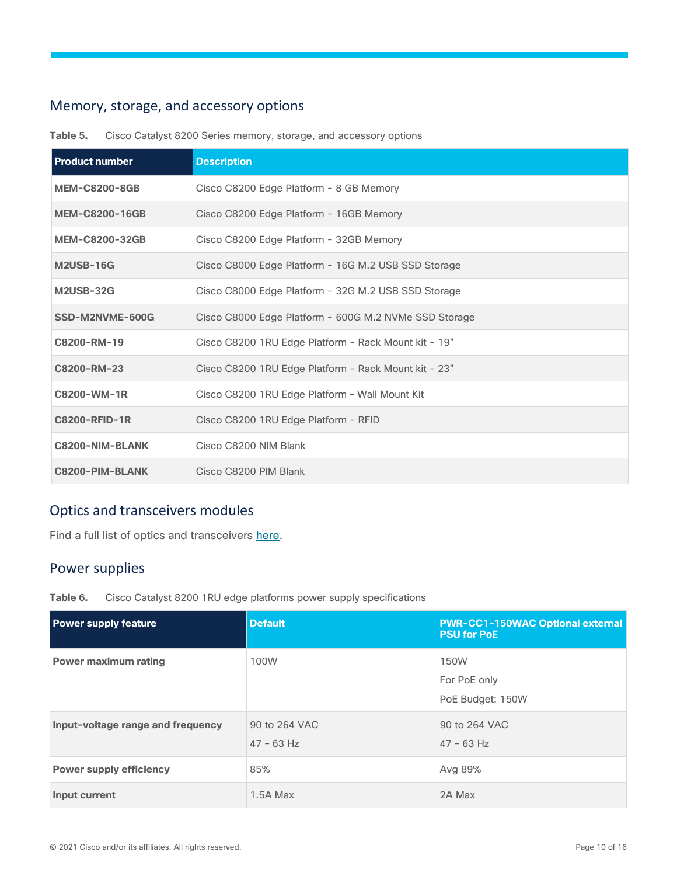## <span id="page-9-0"></span>Memory, storage, and accessory options

| <b>Product number</b> | <b>Description</b>                                    |
|-----------------------|-------------------------------------------------------|
| <b>MEM-C8200-8GB</b>  | Cisco C8200 Edge Platform - 8 GB Memory               |
| <b>MEM-C8200-16GB</b> | Cisco C8200 Edge Platform - 16GB Memory               |
| <b>MEM-C8200-32GB</b> | Cisco C8200 Edge Platform - 32GB Memory               |
| <b>M2USB-16G</b>      | Cisco C8000 Edge Platform - 16G M.2 USB SSD Storage   |
| <b>M2USB-32G</b>      | Cisco C8000 Edge Platform - 32G M.2 USB SSD Storage   |
| SSD-M2NVME-600G       | Cisco C8000 Edge Platform - 600G M.2 NVMe SSD Storage |
| C8200-RM-19           | Cisco C8200 1RU Edge Platform - Rack Mount kit - 19"  |
| C8200-RM-23           | Cisco C8200 1RU Edge Platform - Rack Mount kit - 23"  |
| C8200-WM-1R           | Cisco C8200 1RU Edge Platform - Wall Mount Kit        |
| <b>C8200-RFID-1R</b>  | Cisco C8200 1RU Edge Platform - RFID                  |
| C8200-NIM-BLANK       | Cisco C8200 NIM Blank                                 |
| C8200-PIM-BLANK       | Cisco C8200 PIM Blank                                 |

**Table 5.** Cisco Catalyst 8200 Series memory, storage, and accessory options

## <span id="page-9-1"></span>Optics and transceivers modules

Find a full list of optics and transceivers [here.](https://tmgmatrix.cisco.com/)

## <span id="page-9-2"></span>Power supplies

**Table 6.** Cisco Catalyst 8200 1RU edge platforms power supply specifications

| <b>Power supply feature</b>       | <b>Default</b>                | <b>PWR-CC1-150WAC Optional external</b><br><b>PSU for PoE</b> |
|-----------------------------------|-------------------------------|---------------------------------------------------------------|
| <b>Power maximum rating</b>       | 100W                          | 150W<br>For PoE only<br>PoE Budget: 150W                      |
| Input-voltage range and frequency | 90 to 264 VAC<br>$47 - 63$ Hz | 90 to 264 VAC<br>$47 - 63$ Hz                                 |
| <b>Power supply efficiency</b>    | 85%                           | Avg 89%                                                       |
| Input current                     | 1.5A Max                      | 2A Max                                                        |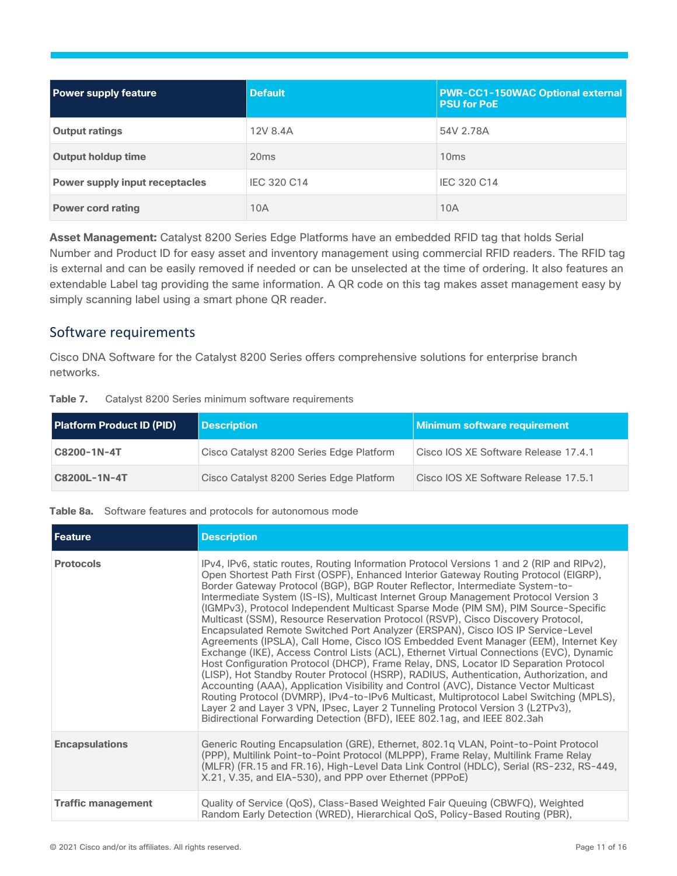| <b>Power supply feature</b>    | <b>Default</b>   | <b>PWR-CC1-150WAC Optional external</b><br><b>PSU for PoE</b> |
|--------------------------------|------------------|---------------------------------------------------------------|
| <b>Output ratings</b>          | 12V 8.4A         | 54V 2.78A                                                     |
| <b>Output holdup time</b>      | 20 <sub>ms</sub> | 10 <sub>ms</sub>                                              |
| Power supply input receptacles | IEC 320 C14      | IEC 320 C14                                                   |
| <b>Power cord rating</b>       | 10A              | 10A                                                           |

**Asset Management:** Catalyst 8200 Series Edge Platforms have an embedded RFID tag that holds Serial Number and Product ID for easy asset and inventory management using commercial RFID readers. The RFID tag is external and can be easily removed if needed or can be unselected at the time of ordering. It also features an extendable Label tag providing the same information. A QR code on this tag makes asset management easy by simply scanning label using a smart phone QR reader.

## <span id="page-10-0"></span>Software requirements

Cisco DNA Software for the Catalyst 8200 Series offers comprehensive solutions for enterprise branch networks.

| Table 7. | Catalyst 8200 Series minimum software requirements |
|----------|----------------------------------------------------|
|----------|----------------------------------------------------|

| <b>Platform Product ID (PID)</b> | <b>Description</b>                       | Minimum software requirement         |
|----------------------------------|------------------------------------------|--------------------------------------|
| C8200-1N-4T                      | Cisco Catalyst 8200 Series Edge Platform | Cisco IOS XE Software Release 17.4.1 |
| C8200L-1N-4T                     | Cisco Catalyst 8200 Series Edge Platform | Cisco IOS XE Software Release 17.5.1 |

#### **Table 8a.** Software features and protocols for autonomous mode

| <b>Feature</b>            | <b>Description</b>                                                                                                                                                                                                                                                                                                                                                                                                                                                                                                                                                                                                                                                                                                                                                                                                                                                                                                                                                                                                                                                                                                                                                                                                                                                                                                                          |
|---------------------------|---------------------------------------------------------------------------------------------------------------------------------------------------------------------------------------------------------------------------------------------------------------------------------------------------------------------------------------------------------------------------------------------------------------------------------------------------------------------------------------------------------------------------------------------------------------------------------------------------------------------------------------------------------------------------------------------------------------------------------------------------------------------------------------------------------------------------------------------------------------------------------------------------------------------------------------------------------------------------------------------------------------------------------------------------------------------------------------------------------------------------------------------------------------------------------------------------------------------------------------------------------------------------------------------------------------------------------------------|
| <b>Protocols</b>          | IPv4, IPv6, static routes, Routing Information Protocol Versions 1 and 2 (RIP and RIPv2),<br>Open Shortest Path First (OSPF), Enhanced Interior Gateway Routing Protocol (EIGRP),<br>Border Gateway Protocol (BGP), BGP Router Reflector, Intermediate System-to-<br>Intermediate System (IS-IS), Multicast Internet Group Management Protocol Version 3<br>(IGMPv3), Protocol Independent Multicast Sparse Mode (PIM SM), PIM Source-Specific<br>Multicast (SSM), Resource Reservation Protocol (RSVP), Cisco Discovery Protocol,<br>Encapsulated Remote Switched Port Analyzer (ERSPAN), Cisco IOS IP Service-Level<br>Agreements (IPSLA), Call Home, Cisco IOS Embedded Event Manager (EEM), Internet Key<br>Exchange (IKE), Access Control Lists (ACL), Ethernet Virtual Connections (EVC), Dynamic<br>Host Configuration Protocol (DHCP), Frame Relay, DNS, Locator ID Separation Protocol<br>(LISP), Hot Standby Router Protocol (HSRP), RADIUS, Authentication, Authorization, and<br>Accounting (AAA), Application Visibility and Control (AVC), Distance Vector Multicast<br>Routing Protocol (DVMRP), IPv4-to-IPv6 Multicast, Multiprotocol Label Switching (MPLS),<br>Layer 2 and Layer 3 VPN, IPsec, Layer 2 Tunneling Protocol Version 3 (L2TPv3),<br>Bidirectional Forwarding Detection (BFD), IEEE 802.1ag, and IEEE 802.3ah |
| <b>Encapsulations</b>     | Generic Routing Encapsulation (GRE), Ethernet, 802.1q VLAN, Point-to-Point Protocol<br>(PPP), Multilink Point-to-Point Protocol (MLPPP), Frame Relay, Multilink Frame Relay<br>(MLFR) (FR.15 and FR.16), High-Level Data Link Control (HDLC), Serial (RS-232, RS-449,<br>X.21, V.35, and EIA-530), and PPP over Ethernet (PPPoE)                                                                                                                                                                                                                                                                                                                                                                                                                                                                                                                                                                                                                                                                                                                                                                                                                                                                                                                                                                                                            |
| <b>Traffic management</b> | Quality of Service (QoS), Class-Based Weighted Fair Queuing (CBWFQ), Weighted<br>Random Early Detection (WRED), Hierarchical QoS, Policy-Based Routing (PBR),                                                                                                                                                                                                                                                                                                                                                                                                                                                                                                                                                                                                                                                                                                                                                                                                                                                                                                                                                                                                                                                                                                                                                                               |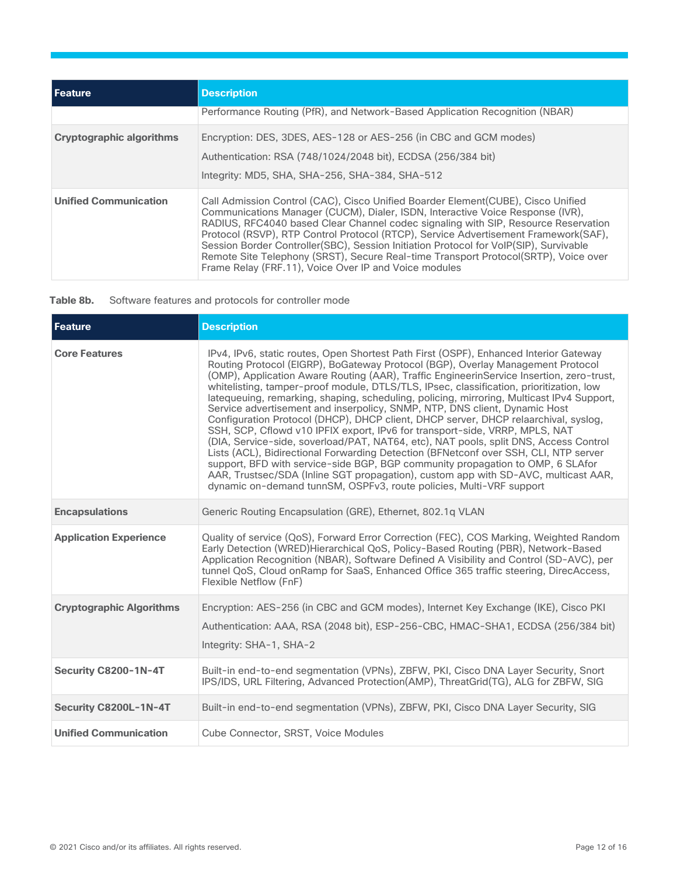| <b>LEeature</b>                 | <b>Description</b>                                                                                                                                                                                                                                                                                                                                                                                                                                                                                                                                                                        |
|---------------------------------|-------------------------------------------------------------------------------------------------------------------------------------------------------------------------------------------------------------------------------------------------------------------------------------------------------------------------------------------------------------------------------------------------------------------------------------------------------------------------------------------------------------------------------------------------------------------------------------------|
|                                 | Performance Routing (PfR), and Network-Based Application Recognition (NBAR)                                                                                                                                                                                                                                                                                                                                                                                                                                                                                                               |
| <b>Cryptographic algorithms</b> | Encryption: DES, 3DES, AES-128 or AES-256 (in CBC and GCM modes)<br>Authentication: RSA (748/1024/2048 bit), ECDSA (256/384 bit)<br>Integrity: MD5, SHA, SHA-256, SHA-384, SHA-512                                                                                                                                                                                                                                                                                                                                                                                                        |
| <b>Unified Communication</b>    | Call Admission Control (CAC), Cisco Unified Boarder Element (CUBE), Cisco Unified<br>Communications Manager (CUCM), Dialer, ISDN, Interactive Voice Response (IVR),<br>RADIUS, RFC4040 based Clear Channel codec signaling with SIP, Resource Reservation<br>Protocol (RSVP), RTP Control Protocol (RTCP), Service Advertisement Framework(SAF),<br>Session Border Controller(SBC), Session Initiation Protocol for VoIP(SIP), Survivable<br>Remote Site Telephony (SRST), Secure Real-time Transport Protocol(SRTP), Voice over<br>Frame Relay (FRF.11), Voice Over IP and Voice modules |

| Table 8b. | Software features and protocols for controller mode |  |  |  |  |
|-----------|-----------------------------------------------------|--|--|--|--|
|-----------|-----------------------------------------------------|--|--|--|--|

| <b>Feature</b>                  | <b>Description</b>                                                                                                                                                                                                                                                                                                                                                                                                                                                                                                                                                                                                                                                                                                                                                                                                                                                                                                                                                                                                                                                                                                                              |
|---------------------------------|-------------------------------------------------------------------------------------------------------------------------------------------------------------------------------------------------------------------------------------------------------------------------------------------------------------------------------------------------------------------------------------------------------------------------------------------------------------------------------------------------------------------------------------------------------------------------------------------------------------------------------------------------------------------------------------------------------------------------------------------------------------------------------------------------------------------------------------------------------------------------------------------------------------------------------------------------------------------------------------------------------------------------------------------------------------------------------------------------------------------------------------------------|
| <b>Core Features</b>            | IPv4, IPv6, static routes, Open Shortest Path First (OSPF), Enhanced Interior Gateway<br>Routing Protocol (EIGRP), BoGateway Protocol (BGP), Overlay Management Protocol<br>(OMP), Application Aware Routing (AAR), Traffic EngineerinService Insertion, zero-trust,<br>whitelisting, tamper-proof module, DTLS/TLS, IPsec, classification, prioritization, low<br>latequeuing, remarking, shaping, scheduling, policing, mirroring, Multicast IPv4 Support,<br>Service advertisement and inserpolicy, SNMP, NTP, DNS client, Dynamic Host<br>Configuration Protocol (DHCP), DHCP client, DHCP server, DHCP relaarchival, syslog,<br>SSH, SCP, Cflowd v10 IPFIX export, IPv6 for transport-side, VRRP, MPLS, NAT<br>(DIA, Service-side, soverload/PAT, NAT64, etc), NAT pools, split DNS, Access Control<br>Lists (ACL), Bidirectional Forwarding Detection (BFNetconf over SSH, CLI, NTP server<br>support, BFD with service-side BGP, BGP community propagation to OMP, 6 SLAfor<br>AAR, Trustsec/SDA (Inline SGT propagation), custom app with SD-AVC, multicast AAR,<br>dynamic on-demand tunnSM, OSPFv3, route policies, Multi-VRF support |
| <b>Encapsulations</b>           | Generic Routing Encapsulation (GRE), Ethernet, 802.1q VLAN                                                                                                                                                                                                                                                                                                                                                                                                                                                                                                                                                                                                                                                                                                                                                                                                                                                                                                                                                                                                                                                                                      |
| <b>Application Experience</b>   | Quality of service (QoS), Forward Error Correction (FEC), COS Marking, Weighted Random<br>Early Detection (WRED)Hierarchical QoS, Policy-Based Routing (PBR), Network-Based<br>Application Recognition (NBAR), Software Defined A Visibility and Control (SD-AVC), per<br>tunnel QoS, Cloud onRamp for SaaS, Enhanced Office 365 traffic steering, DirecAccess,<br>Flexible Netflow (FnF)                                                                                                                                                                                                                                                                                                                                                                                                                                                                                                                                                                                                                                                                                                                                                       |
| <b>Cryptographic Algorithms</b> | Encryption: AES-256 (in CBC and GCM modes), Internet Key Exchange (IKE), Cisco PKI<br>Authentication: AAA, RSA (2048 bit), ESP-256-CBC, HMAC-SHA1, ECDSA (256/384 bit)<br>Integrity: SHA-1, SHA-2                                                                                                                                                                                                                                                                                                                                                                                                                                                                                                                                                                                                                                                                                                                                                                                                                                                                                                                                               |
| Security C8200-1N-4T            | Built-in end-to-end segmentation (VPNs), ZBFW, PKI, Cisco DNA Layer Security, Snort<br>IPS/IDS, URL Filtering, Advanced Protection(AMP), ThreatGrid(TG), ALG for ZBFW, SIG                                                                                                                                                                                                                                                                                                                                                                                                                                                                                                                                                                                                                                                                                                                                                                                                                                                                                                                                                                      |
| Security C8200L-1N-4T           | Built-in end-to-end segmentation (VPNs), ZBFW, PKI, Cisco DNA Layer Security, SIG                                                                                                                                                                                                                                                                                                                                                                                                                                                                                                                                                                                                                                                                                                                                                                                                                                                                                                                                                                                                                                                               |
| <b>Unified Communication</b>    | Cube Connector, SRST, Voice Modules                                                                                                                                                                                                                                                                                                                                                                                                                                                                                                                                                                                                                                                                                                                                                                                                                                                                                                                                                                                                                                                                                                             |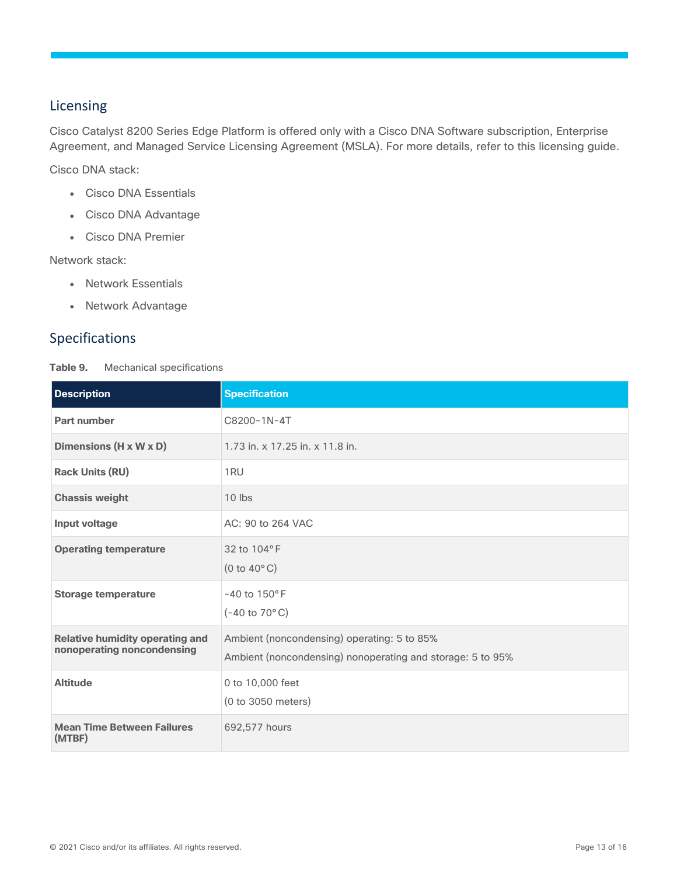## <span id="page-12-0"></span>Licensing

Cisco Catalyst 8200 Series Edge Platform is offered only with a Cisco DNA Software subscription, Enterprise Agreement, and Managed Service Licensing Agreement (MSLA). For more details, refer to this [licensing guide.](https://www.cisco.com/c/en/us/products/software/dna-subscription-wan/index.html)

Cisco DNA stack:

- Cisco DNA Essentials
- Cisco DNA Advantage
- Cisco DNA Premier

Network stack:

- Network Essentials
- Network Advantage

## <span id="page-12-1"></span>Specifications

**Table 9.** Mechanical specifications

| <b>Description</b>                                                   | <b>Specification</b>                                                                                      |
|----------------------------------------------------------------------|-----------------------------------------------------------------------------------------------------------|
| Part number                                                          | C8200-1N-4T                                                                                               |
| Dimensions (H x W x D)                                               | 1.73 in. x 17.25 in. x 11.8 in.                                                                           |
| <b>Rack Units (RU)</b>                                               | 1RU                                                                                                       |
| <b>Chassis weight</b>                                                | 10 lbs                                                                                                    |
| Input voltage                                                        | AC: 90 to 264 VAC                                                                                         |
| <b>Operating temperature</b>                                         | 32 to 104°F<br>(0 to $40^{\circ}$ C)                                                                      |
| <b>Storage temperature</b>                                           | $-40$ to $150^{\circ}$ F<br>$(-40 \text{ to } 70^{\circ} \text{C})$                                       |
| <b>Relative humidity operating and</b><br>nonoperating noncondensing | Ambient (noncondensing) operating: 5 to 85%<br>Ambient (noncondensing) nonoperating and storage: 5 to 95% |
| <b>Altitude</b>                                                      | 0 to 10,000 feet<br>(0 to 3050 meters)                                                                    |
| <b>Mean Time Between Failures</b><br>(MTBF)                          | 692,577 hours                                                                                             |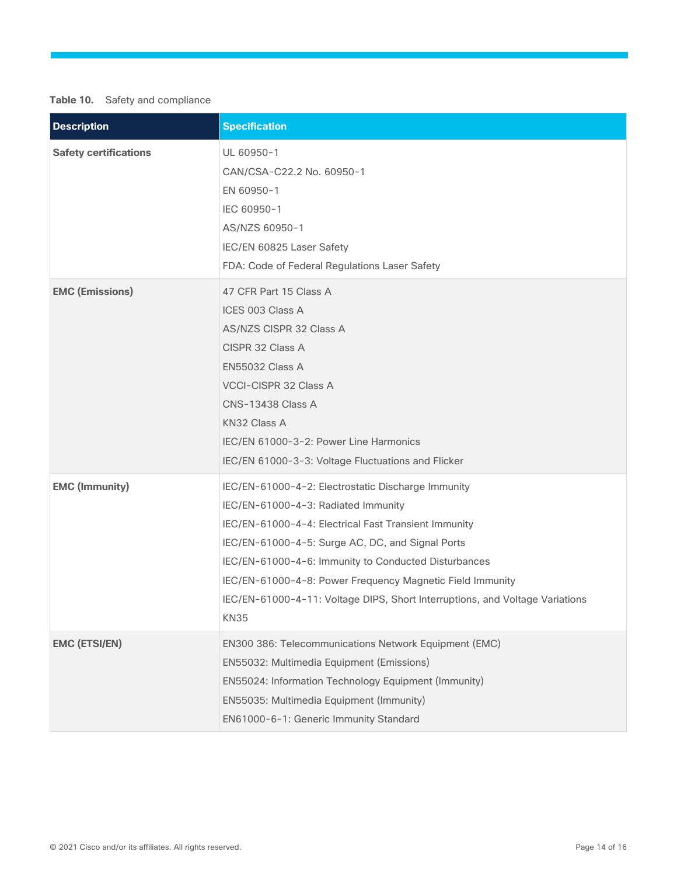## **Table 10.** Safety and compliance

| <b>Description</b>           | <b>Specification</b>                                                                                                                                                                                                                                                                                                                                                                                                      |
|------------------------------|---------------------------------------------------------------------------------------------------------------------------------------------------------------------------------------------------------------------------------------------------------------------------------------------------------------------------------------------------------------------------------------------------------------------------|
| <b>Safety certifications</b> | UL 60950-1<br>CAN/CSA-C22.2 No. 60950-1<br>EN 60950-1<br>IEC 60950-1<br>AS/NZS 60950-1<br>IEC/EN 60825 Laser Safety<br>FDA: Code of Federal Regulations Laser Safety                                                                                                                                                                                                                                                      |
| <b>EMC (Emissions)</b>       | 47 CFR Part 15 Class A<br>ICES 003 Class A<br>AS/NZS CISPR 32 Class A<br>CISPR 32 Class A<br><b>EN55032 Class A</b><br><b>VCCI-CISPR 32 Class A</b><br><b>CNS-13438 Class A</b><br>KN32 Class A<br>IEC/EN 61000-3-2: Power Line Harmonics<br>IEC/EN 61000-3-3: Voltage Fluctuations and Flicker                                                                                                                           |
| <b>EMC (Immunity)</b>        | IEC/EN-61000-4-2: Electrostatic Discharge Immunity<br>IEC/EN-61000-4-3: Radiated Immunity<br>IEC/EN-61000-4-4: Electrical Fast Transient Immunity<br>IEC/EN-61000-4-5: Surge AC, DC, and Signal Ports<br>IEC/EN-61000-4-6: Immunity to Conducted Disturbances<br>IEC/EN-61000-4-8: Power Frequency Magnetic Field Immunity<br>IEC/EN-61000-4-11: Voltage DIPS, Short Interruptions, and Voltage Variations<br><b>KN35</b> |
| <b>EMC (ETSI/EN)</b>         | EN300 386: Telecommunications Network Equipment (EMC)<br>EN55032: Multimedia Equipment (Emissions)<br>EN55024: Information Technology Equipment (Immunity)<br>EN55035: Multimedia Equipment (Immunity)<br>EN61000-6-1: Generic Immunity Standard                                                                                                                                                                          |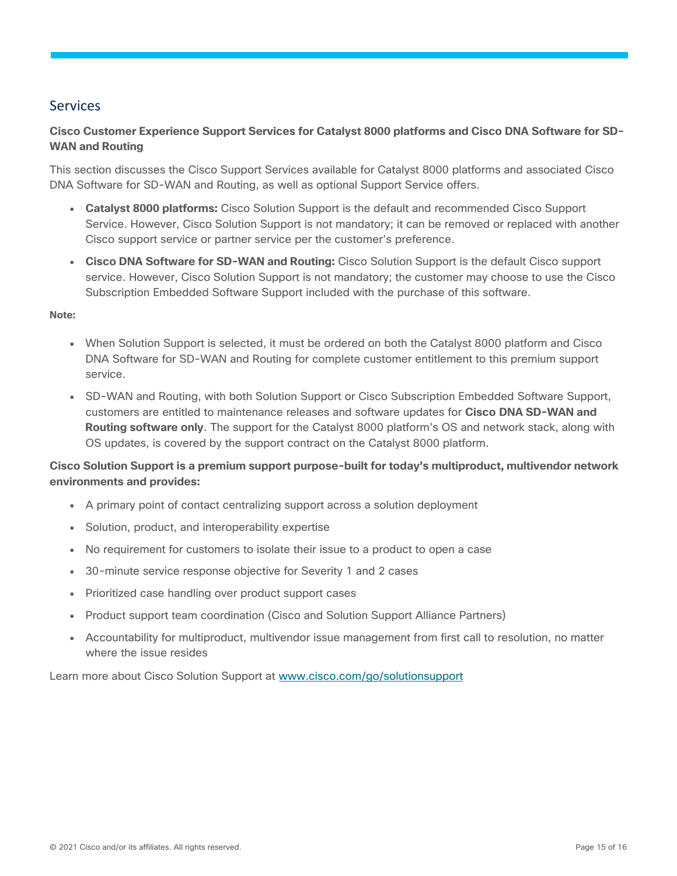## <span id="page-14-0"></span>Services

## **Cisco Customer Experience Support Services for Catalyst 8000 platforms and Cisco DNA Software for SD-WAN and Routing**

This section discusses the Cisco Support Services available for Catalyst 8000 platforms and associated Cisco DNA Software for SD-WAN and Routing, as well as optional Support Service offers.

- **Catalyst 8000 platforms:** Cisco Solution Support is the default and recommended Cisco Support Service. However, Cisco Solution Support is not mandatory; it can be removed or replaced with another Cisco support service or partner service per the customer's preference.
- **Cisco DNA Software for SD-WAN and Routing:** Cisco Solution Support is the default Cisco support service. However, Cisco Solution Support is not mandatory; the customer may choose to use the Cisco Subscription Embedded Software Support included with the purchase of this software.

#### **Note:**

- When Solution Support is selected, it must be ordered on both the Catalyst 8000 platform and Cisco DNA Software for SD-WAN and Routing for complete customer entitlement to this premium support service.
- SD-WAN and Routing, with both Solution Support or Cisco Subscription Embedded Software Support, customers are entitled to maintenance releases and software updates for **Cisco DNA SD-WAN and Routing software only**. The support for the Catalyst 8000 platform's OS and network stack, along with OS updates, is covered by the support contract on the Catalyst 8000 platform.

## **Cisco Solution Support is a premium support purpose-built for today's multiproduct, multivendor network environments and provides:**

- A primary point of contact centralizing support across a solution deployment
- Solution, product, and interoperability expertise
- No requirement for customers to isolate their issue to a product to open a case
- 30-minute service response objective for Severity 1 and 2 cases
- Prioritized case handling over product support cases
- Product support team coordination (Cisco and Solution Support Alliance Partners)
- Accountability for multiproduct, multivendor issue management from first call to resolution, no matter where the issue resides

Learn more about Cisco Solution Support at [www.cisco.com/go/solutionsupport](http://www.cisco.com/go/solutionsupport)